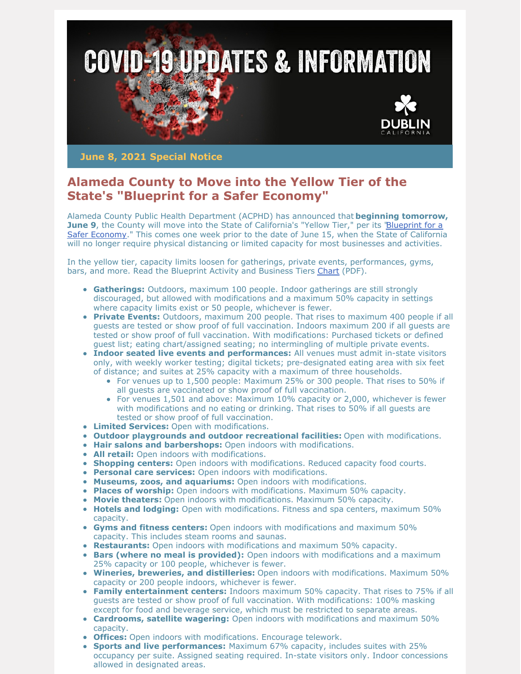

**June 8, 2021 Special Notice**

## **Alameda County to Move into the Yellow Tier of the State's "Blueprint for a Safer Economy"**

Alameda County Public Health Department (ACPHD) has announced that **beginning tomorrow, June 9**, the County will move into the State of California's "Yellow Tier," per its 'Blueprint for a [Safer Economy." This comes one week prior to the date of June 15, when the State of Californi](https://covid19.ca.gov/safer-economy/)a will no longer require physical distancing or limited capacity for most businesses and activities.

In the yellow tier, capacity limits loosen for gatherings, private events, performances, gyms, bars, and more. Read the Blueprint Activity and Business Tiers [Chart](https://www.cdph.ca.gov/Programs/CID/DCDC/CDPH Document Library/COVID-19/Dimmer-Framework-September_2020.pdf) (PDF).

- **Gatherings:** Outdoors, maximum 100 people. Indoor gatherings are still strongly discouraged, but allowed with modifications and a maximum 50% capacity in settings where capacity limits exist or 50 people, whichever is fewer.
- **Private Events:** Outdoors, maximum 200 people. That rises to maximum 400 people if all guests are tested or show proof of full vaccination. Indoors maximum 200 if all guests are tested or show proof of full vaccination. With modifications: Purchased tickets or defined guest list; eating chart/assigned seating; no intermingling of multiple private events.
- **Indoor seated live events and performances:** All venues must admit in-state visitors only, with weekly worker testing; digital tickets; pre-designated eating area with six feet of distance; and suites at 25% capacity with a maximum of three households.
	- For venues up to 1,500 people: Maximum 25% or 300 people. That rises to 50% if all guests are vaccinated or show proof of full vaccination.
	- For venues 1,501 and above: Maximum 10% capacity or 2,000, whichever is fewer with modifications and no eating or drinking. That rises to 50% if all guests are tested or show proof of full vaccination.
- **Limited Services:** Open with modifications.
- **Outdoor playgrounds and outdoor recreational facilities:** Open with modifications.
- **Hair salons and barbershops:** Open indoors with modifications.
- **All retail:** Open indoors with modifications.
- **Shopping centers:** Open indoors with modifications. Reduced capacity food courts.
- **Personal care services:** Open indoors with modifications.
- **Museums, zoos, and aquariums:** Open indoors with modifications.
- **Places of worship:** Open indoors with modifications. Maximum 50% capacity.
- **Movie theaters:** Open indoors with modifications. Maximum 50% capacity.
- **Hotels and lodging:** Open with modifications. Fitness and spa centers, maximum 50% capacity.
- **Gyms and fitness centers:** Open indoors with modifications and maximum 50% capacity. This includes steam rooms and saunas.
- **Restaurants:** Open indoors with modifications and maximum 50% capacity.
- **Bars (where no meal is provided):** Open indoors with modifications and a maximum 25% capacity or 100 people, whichever is fewer.
- **Wineries, breweries, and distilleries:** Open indoors with modifications. Maximum 50% capacity or 200 people indoors, whichever is fewer.
- **Family entertainment centers:** Indoors maximum 50% capacity. That rises to 75% if all guests are tested or show proof of full vaccination. With modifications: 100% masking except for food and beverage service, which must be restricted to separate areas.
- **Cardrooms, satellite wagering:** Open indoors with modifications and maximum 50% capacity.
- **Offices:** Open indoors with modifications. Encourage telework.
- **Sports and live performances:** Maximum 67% capacity, includes suites with 25% occupancy per suite. Assigned seating required. In-state visitors only. Indoor concessions allowed in designated areas.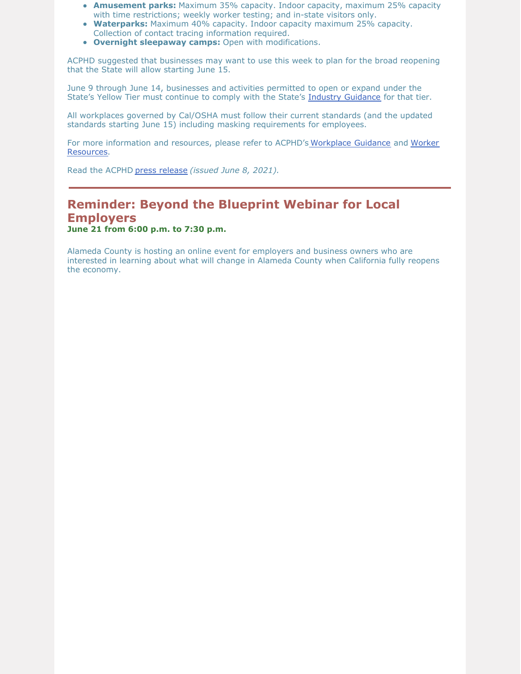- **Amusement parks:** Maximum 35% capacity. Indoor capacity, maximum 25% capacity with time restrictions; weekly worker testing; and in-state visitors only.
- **Waterparks:** Maximum 40% capacity. Indoor capacity maximum 25% capacity. Collection of contact tracing information required.
- **Overnight sleepaway camps:** Open with modifications.

ACPHD suggested that businesses may want to use this week to plan for the broad reopening that the State will allow starting June 15.

June 9 through June 14, businesses and activities permitted to open or expand under the State's Yellow Tier must continue to comply with the State's [Industry Guidance](https://covid19.ca.gov/industry-guidance/) for that tier.

All workplaces governed by Cal/OSHA must follow their current standards (and the updated standards starting June 15) including masking requirements for employees.

[For more information and resources, please refer to ACPHD's](https://covid-19.acgov.org/worker-resources) [Workplace Guidance](https://covid-19.acgov.org/recovery) and Worker Resources.

Read the ACPHD [press release](https://covid-19.acgov.org/covid19-assets/docs/press/press-release-2021.06.08.pdf) *(issued June 8, 2021).*

## **Reminder: Beyond the Blueprint Webinar for Local Employers**

**June 21 from 6:00 p.m. to 7:30 p.m.**

Alameda County is hosting an online event for employers and business owners who are interested in learning about what will change in Alameda County when California fully reopens the economy.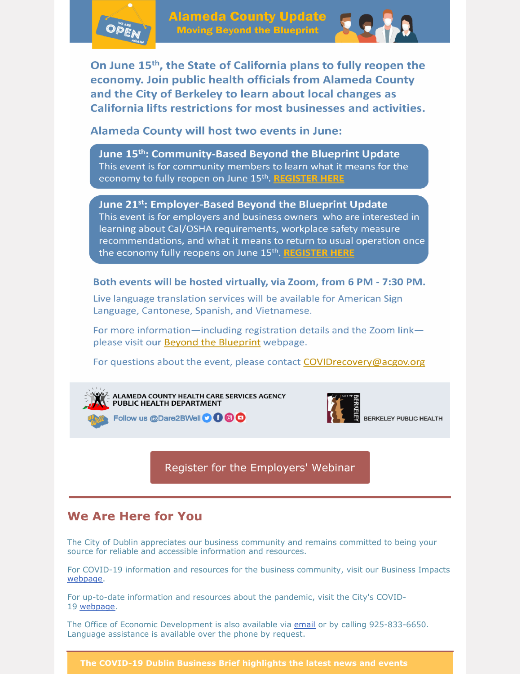

**Alameda County Update Moving Beyond the Blueprint** 



On June 15<sup>th</sup>, the State of California plans to fully reopen the economy. Join public health officials from Alameda County and the City of Berkeley to learn about local changes as California lifts restrictions for most businesses and activities.

**Alameda County will host two events in June:** 

June 15<sup>th</sup>: Community-Based Beyond the Blueprint Update This event is for community members to learn what it means for the economy to fully reopen on June 15th. REGISTER HERE

June 21<sup>st</sup>: Employer-Based Beyond the Blueprint Update This event is for employers and business owners who are interested in learning about Cal/OSHA requirements, workplace safety measure recommendations, and what it means to return to usual operation once the economy fully reopens on June 15th. REGISTER HERE

Both events will be hosted virtually, via Zoom, from 6 PM - 7:30 PM.

Live language translation services will be available for American Sign Language, Cantonese, Spanish, and Vietnamese.

For more information—including registration details and the Zoom link please visit our Beyond the Blueprint webpage.

For questions about the event, please contact COVIDrecovery@acgov.org



ALAMEDA COUNTY HEALTH CARE SERVICES AGENCY<br>PUBLIC HEALTH DEPARTMENT

Follow us @Dare2BWell **O + 6 + 6** 



Register for the [Employers'](https://events.r20.constantcontact.com/register/eventReg?oeidk=a07ei1i3wgtfb6ea37a&oseq=&c=&ch=) Webinar

## **We Are Here for You**

The City of Dublin appreciates our business community and remains committed to being your source for reliable and accessible information and resources.

For COVID-19 information and resources for the business community, visit our Business Impacts [webpage](https://dublin.ca.gov/2177/COVID-19-Business-Impacts).

For up-to-date information and resources about the pandemic, visit the City's COVID-19 [webpage](https://www.dublin.ca.gov/coronavirus).

The Office of Economic Development is also available via [email](mailto:economic.development@dublin.ca.gov) or by calling 925-833-6650. Language assistance is available over the phone by request.